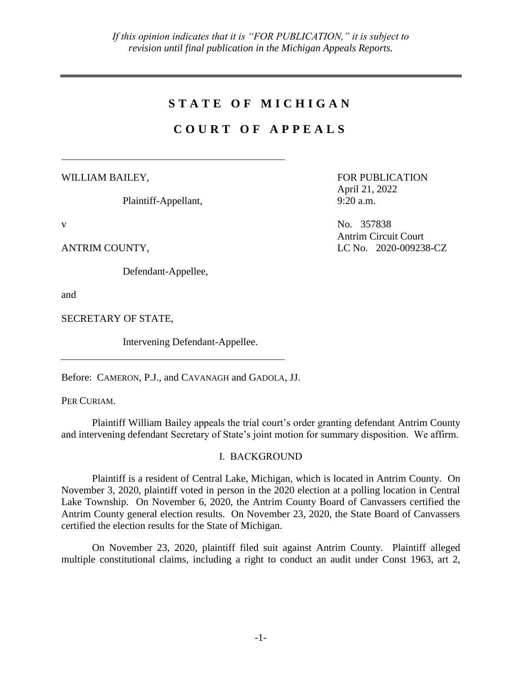# **S T A T E O F M I C H I G A N**

# **C O U R T O F A P P E A L S**

WILLIAM BAILEY,

Plaintiff-Appellant,

Defendant-Appellee,

and

SECRETARY OF STATE,

Intervening Defendant-Appellee.

Before: CAMERON, P.J., and CAVANAGH and GADOLA, JJ.

PER CURIAM.

Plaintiff William Bailey appeals the trial court's order granting defendant Antrim County and intervening defendant Secretary of State's joint motion for summary disposition. We affirm.

## I. BACKGROUND

Plaintiff is a resident of Central Lake, Michigan, which is located in Antrim County. On November 3, 2020, plaintiff voted in person in the 2020 election at a polling location in Central Lake Township. On November 6, 2020, the Antrim County Board of Canvassers certified the Antrim County general election results. On November 23, 2020, the State Board of Canvassers certified the election results for the State of Michigan.

On November 23, 2020, plaintiff filed suit against Antrim County. Plaintiff alleged multiple constitutional claims, including a right to conduct an audit under Const 1963, art 2,

FOR PUBLICATION April 21, 2022 9:20 a.m.

v No. 357838 Antrim Circuit Court ANTRIM COUNTY, LC No. 2020-009238-CZ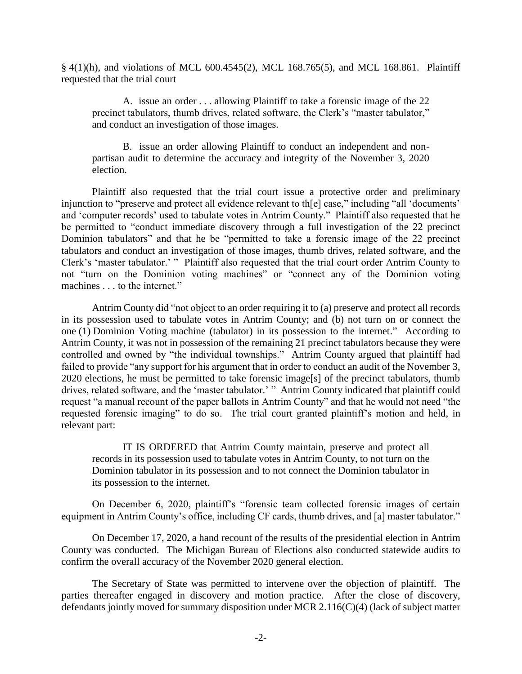§ 4(1)(h), and violations of MCL 600.4545(2), MCL 168.765(5), and MCL 168.861. Plaintiff requested that the trial court

A. issue an order . . . allowing Plaintiff to take a forensic image of the 22 precinct tabulators, thumb drives, related software, the Clerk's "master tabulator," and conduct an investigation of those images.

B. issue an order allowing Plaintiff to conduct an independent and nonpartisan audit to determine the accuracy and integrity of the November 3, 2020 election.

Plaintiff also requested that the trial court issue a protective order and preliminary injunction to "preserve and protect all evidence relevant to th[e] case," including "all 'documents' and 'computer records' used to tabulate votes in Antrim County." Plaintiff also requested that he be permitted to "conduct immediate discovery through a full investigation of the 22 precinct Dominion tabulators" and that he be "permitted to take a forensic image of the 22 precinct tabulators and conduct an investigation of those images, thumb drives, related software, and the Clerk's 'master tabulator.' " Plaintiff also requested that the trial court order Antrim County to not "turn on the Dominion voting machines" or "connect any of the Dominion voting machines . . . to the internet."

Antrim County did "not object to an order requiring it to (a) preserve and protect all records in its possession used to tabulate votes in Antrim County; and (b) not turn on or connect the one (1) Dominion Voting machine (tabulator) in its possession to the internet." According to Antrim County, it was not in possession of the remaining 21 precinct tabulators because they were controlled and owned by "the individual townships." Antrim County argued that plaintiff had failed to provide "any support for his argument that in order to conduct an audit of the November 3, 2020 elections, he must be permitted to take forensic image[s] of the precinct tabulators, thumb drives, related software, and the 'master tabulator.' " Antrim County indicated that plaintiff could request "a manual recount of the paper ballots in Antrim County" and that he would not need "the requested forensic imaging" to do so. The trial court granted plaintiff's motion and held, in relevant part:

IT IS ORDERED that Antrim County maintain, preserve and protect all records in its possession used to tabulate votes in Antrim County, to not turn on the Dominion tabulator in its possession and to not connect the Dominion tabulator in its possession to the internet.

On December 6, 2020, plaintiff's "forensic team collected forensic images of certain equipment in Antrim County's office, including CF cards, thumb drives, and [a] master tabulator."

On December 17, 2020, a hand recount of the results of the presidential election in Antrim County was conducted. The Michigan Bureau of Elections also conducted statewide audits to confirm the overall accuracy of the November 2020 general election.

The Secretary of State was permitted to intervene over the objection of plaintiff. The parties thereafter engaged in discovery and motion practice. After the close of discovery, defendants jointly moved for summary disposition under MCR 2.116(C)(4) (lack of subject matter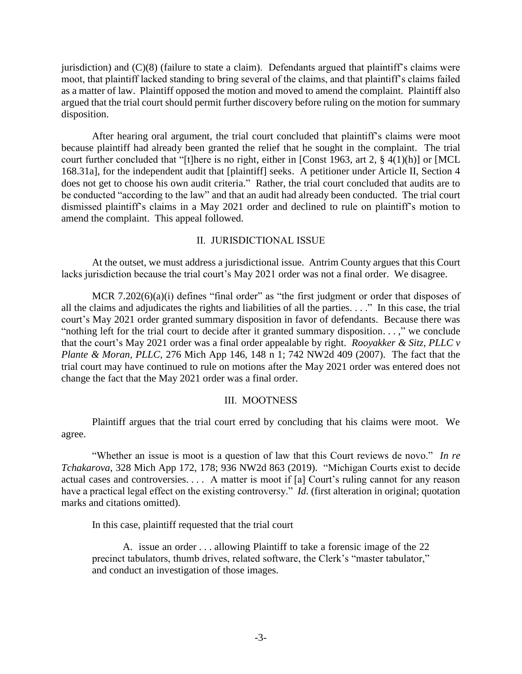jurisdiction) and (C)(8) (failure to state a claim). Defendants argued that plaintiff's claims were moot, that plaintiff lacked standing to bring several of the claims, and that plaintiff's claims failed as a matter of law. Plaintiff opposed the motion and moved to amend the complaint. Plaintiff also argued that the trial court should permit further discovery before ruling on the motion for summary disposition.

After hearing oral argument, the trial court concluded that plaintiff's claims were moot because plaintiff had already been granted the relief that he sought in the complaint. The trial court further concluded that "[t]here is no right, either in [Const 1963, art 2,  $\S$  4(1)(h)] or [MCL 168.31a], for the independent audit that [plaintiff] seeks. A petitioner under Article II, Section 4 does not get to choose his own audit criteria." Rather, the trial court concluded that audits are to be conducted "according to the law" and that an audit had already been conducted. The trial court dismissed plaintiff's claims in a May 2021 order and declined to rule on plaintiff's motion to amend the complaint. This appeal followed.

## II. JURISDICTIONAL ISSUE

At the outset, we must address a jurisdictional issue. Antrim County argues that this Court lacks jurisdiction because the trial court's May 2021 order was not a final order. We disagree.

MCR 7.202(6)(a)(i) defines "final order" as "the first judgment or order that disposes of all the claims and adjudicates the rights and liabilities of all the parties. . . ." In this case, the trial court's May 2021 order granted summary disposition in favor of defendants. Because there was "nothing left for the trial court to decide after it granted summary disposition. . . ," we conclude that the court's May 2021 order was a final order appealable by right. *Rooyakker & Sitz, PLLC v Plante & Moran, PLLC*, 276 Mich App 146, 148 n 1; 742 NW2d 409 (2007). The fact that the trial court may have continued to rule on motions after the May 2021 order was entered does not change the fact that the May 2021 order was a final order.

### III. MOOTNESS

Plaintiff argues that the trial court erred by concluding that his claims were moot. We agree.

"Whether an issue is moot is a question of law that this Court reviews de novo." *In re Tchakarova*, 328 Mich App 172, 178; 936 NW2d 863 (2019). "Michigan Courts exist to decide actual cases and controversies. . . . A matter is moot if [a] Court's ruling cannot for any reason have a practical legal effect on the existing controversy." *Id*. (first alteration in original; quotation marks and citations omitted).

In this case, plaintiff requested that the trial court

A. issue an order . . . allowing Plaintiff to take a forensic image of the 22 precinct tabulators, thumb drives, related software, the Clerk's "master tabulator," and conduct an investigation of those images.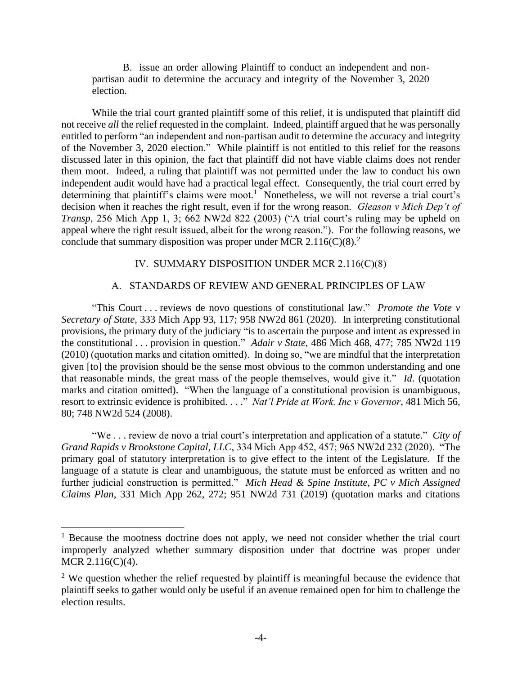B. issue an order allowing Plaintiff to conduct an independent and nonpartisan audit to determine the accuracy and integrity of the November 3, 2020 election.

While the trial court granted plaintiff some of this relief, it is undisputed that plaintiff did not receive *all* the relief requested in the complaint. Indeed, plaintiff argued that he was personally entitled to perform "an independent and non-partisan audit to determine the accuracy and integrity of the November 3, 2020 election." While plaintiff is not entitled to this relief for the reasons discussed later in this opinion, the fact that plaintiff did not have viable claims does not render them moot. Indeed, a ruling that plaintiff was not permitted under the law to conduct his own independent audit would have had a practical legal effect. Consequently, the trial court erred by determining that plaintiff's claims were moot.<sup>1</sup> Nonetheless, we will not reverse a trial court's decision when it reaches the right result, even if for the wrong reason. *Gleason v Mich Dep't of Transp*, 256 Mich App 1, 3; 662 NW2d 822 (2003) ("A trial court's ruling may be upheld on appeal where the right result issued, albeit for the wrong reason."). For the following reasons, we conclude that summary disposition was proper under MCR 2.116(C)(8).<sup>2</sup>

# IV. SUMMARY DISPOSITION UNDER MCR 2.116(C)(8)

## A. STANDARDS OF REVIEW AND GENERAL PRINCIPLES OF LAW

"This Court . . . reviews de novo questions of constitutional law." *Promote the Vote v Secretary of State*, 333 Mich App 93, 117; 958 NW2d 861 (2020). In interpreting constitutional provisions, the primary duty of the judiciary "is to ascertain the purpose and intent as expressed in the constitutional . . . provision in question." *Adair v State*, 486 Mich 468, 477; 785 NW2d 119 (2010) (quotation marks and citation omitted). In doing so, "we are mindful that the interpretation given [to] the provision should be the sense most obvious to the common understanding and one that reasonable minds, the great mass of the people themselves, would give it." *Id*. (quotation marks and citation omitted). "When the language of a constitutional provision is unambiguous, resort to extrinsic evidence is prohibited. . . ." *Nat'l Pride at Work, Inc v Governor*, 481 Mich 56, 80; 748 NW2d 524 (2008).

"We . . . review de novo a trial court's interpretation and application of a statute." *City of Grand Rapids v Brookstone Capital, LLC*, 334 Mich App 452, 457; 965 NW2d 232 (2020). "The primary goal of statutory interpretation is to give effect to the intent of the Legislature. If the language of a statute is clear and unambiguous, the statute must be enforced as written and no further judicial construction is permitted." *Mich Head & Spine Institute, PC v Mich Assigned Claims Plan*, 331 Mich App 262, 272; 951 NW2d 731 (2019) (quotation marks and citations

 $1$  Because the mootness doctrine does not apply, we need not consider whether the trial court improperly analyzed whether summary disposition under that doctrine was proper under MCR 2.116(C)(4).

 $2$  We question whether the relief requested by plaintiff is meaningful because the evidence that plaintiff seeks to gather would only be useful if an avenue remained open for him to challenge the election results.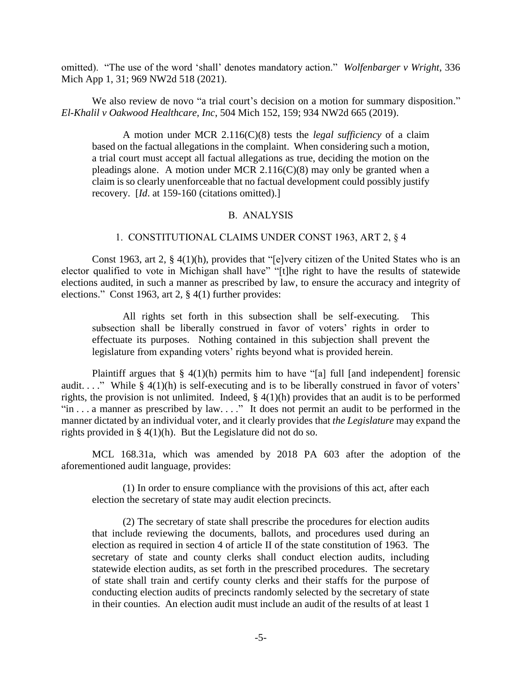omitted). "The use of the word 'shall' denotes mandatory action." *Wolfenbarger v Wright*, 336 Mich App 1, 31; 969 NW2d 518 (2021).

We also review de novo "a trial court's decision on a motion for summary disposition." *El-Khalil v Oakwood Healthcare, Inc*, 504 Mich 152, 159; 934 NW2d 665 (2019).

A motion under MCR 2.116(C)(8) tests the *legal sufficiency* of a claim based on the factual allegations in the complaint. When considering such a motion, a trial court must accept all factual allegations as true, deciding the motion on the pleadings alone. A motion under MCR 2.116(C)(8) may only be granted when a claim is so clearly unenforceable that no factual development could possibly justify recovery. [*Id*. at 159-160 (citations omitted).]

#### B. ANALYSIS

#### 1. CONSTITUTIONAL CLAIMS UNDER CONST 1963, ART 2, § 4

Const 1963, art 2, § 4(1)(h), provides that "[e]very citizen of the United States who is an elector qualified to vote in Michigan shall have" "[t]he right to have the results of statewide elections audited, in such a manner as prescribed by law, to ensure the accuracy and integrity of elections." Const 1963, art 2, § 4(1) further provides:

All rights set forth in this subsection shall be self-executing. This subsection shall be liberally construed in favor of voters' rights in order to effectuate its purposes. Nothing contained in this subjection shall prevent the legislature from expanding voters' rights beyond what is provided herein.

Plaintiff argues that  $\S$  4(1)(h) permits him to have "[a] full [and independent] forensic audit...." While  $\S 4(1)(h)$  is self-executing and is to be liberally construed in favor of voters' rights, the provision is not unlimited. Indeed,  $\S 4(1)(h)$  provides that an audit is to be performed "in . . . a manner as prescribed by law. . . ." It does not permit an audit to be performed in the manner dictated by an individual voter, and it clearly provides that *the Legislature* may expand the rights provided in § 4(1)(h). But the Legislature did not do so.

MCL 168.31a, which was amended by 2018 PA 603 after the adoption of the aforementioned audit language, provides:

(1) In order to ensure compliance with the provisions of this act, after each election the secretary of state may audit election precincts.

(2) The secretary of state shall prescribe the procedures for election audits that include reviewing the documents, ballots, and procedures used during an election as required in section 4 of article II of the state constitution of 1963. The secretary of state and county clerks shall conduct election audits, including statewide election audits, as set forth in the prescribed procedures. The secretary of state shall train and certify county clerks and their staffs for the purpose of conducting election audits of precincts randomly selected by the secretary of state in their counties. An election audit must include an audit of the results of at least 1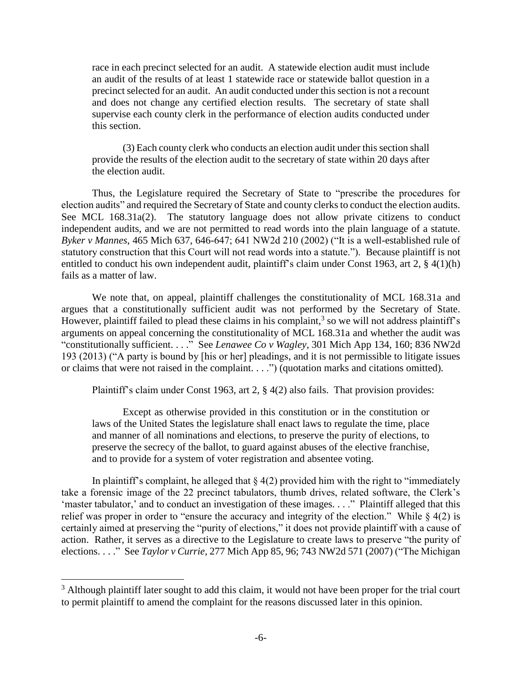race in each precinct selected for an audit. A statewide election audit must include an audit of the results of at least 1 statewide race or statewide ballot question in a precinct selected for an audit. An audit conducted under this section is not a recount and does not change any certified election results. The secretary of state shall supervise each county clerk in the performance of election audits conducted under this section.

(3) Each county clerk who conducts an election audit under this section shall provide the results of the election audit to the secretary of state within 20 days after the election audit.

Thus, the Legislature required the Secretary of State to "prescribe the procedures for election audits" and required the Secretary of State and county clerks to conduct the election audits. See MCL 168.31a(2). The statutory language does not allow private citizens to conduct independent audits, and we are not permitted to read words into the plain language of a statute. *Byker v Mannes*, 465 Mich 637, 646-647; 641 NW2d 210 (2002) ("It is a well-established rule of statutory construction that this Court will not read words into a statute."). Because plaintiff is not entitled to conduct his own independent audit, plaintiff's claim under Const 1963, art 2, § 4(1)(h) fails as a matter of law.

We note that, on appeal, plaintiff challenges the constitutionality of MCL 168.31a and argues that a constitutionally sufficient audit was not performed by the Secretary of State. However, plaintiff failed to plead these claims in his complaint,<sup>3</sup> so we will not address plaintiff's arguments on appeal concerning the constitutionality of MCL 168.31a and whether the audit was "constitutionally sufficient. . . ." See *Lenawee Co v Wagley*, 301 Mich App 134, 160; 836 NW2d 193 (2013) ("A party is bound by [his or her] pleadings, and it is not permissible to litigate issues or claims that were not raised in the complaint. . . .") (quotation marks and citations omitted).

Plaintiff's claim under Const 1963, art 2, § 4(2) also fails. That provision provides:

Except as otherwise provided in this constitution or in the constitution or laws of the United States the legislature shall enact laws to regulate the time, place and manner of all nominations and elections, to preserve the purity of elections, to preserve the secrecy of the ballot, to guard against abuses of the elective franchise, and to provide for a system of voter registration and absentee voting.

In plaintiff's complaint, he alleged that  $\S$  4(2) provided him with the right to "immediately take a forensic image of the 22 precinct tabulators, thumb drives, related software, the Clerk's 'master tabulator,' and to conduct an investigation of these images. . . ." Plaintiff alleged that this relief was proper in order to "ensure the accuracy and integrity of the election." While  $\S$  4(2) is certainly aimed at preserving the "purity of elections," it does not provide plaintiff with a cause of action. Rather, it serves as a directive to the Legislature to create laws to preserve "the purity of elections. . . ." See *Taylor v Currie*, 277 Mich App 85, 96; 743 NW2d 571 (2007) ("The Michigan

<sup>&</sup>lt;sup>3</sup> Although plaintiff later sought to add this claim, it would not have been proper for the trial court to permit plaintiff to amend the complaint for the reasons discussed later in this opinion.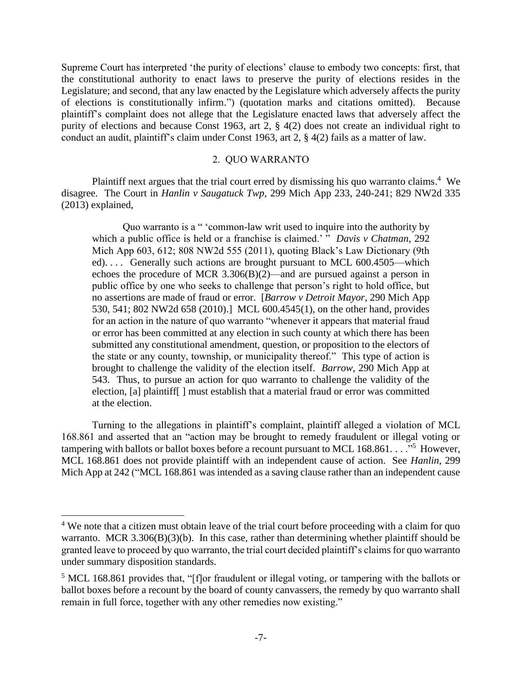Supreme Court has interpreted 'the purity of elections' clause to embody two concepts: first, that the constitutional authority to enact laws to preserve the purity of elections resides in the Legislature; and second, that any law enacted by the Legislature which adversely affects the purity of elections is constitutionally infirm.") (quotation marks and citations omitted). Because plaintiff's complaint does not allege that the Legislature enacted laws that adversely affect the purity of elections and because Const 1963, art 2, § 4(2) does not create an individual right to conduct an audit, plaintiff's claim under Const 1963, art 2, § 4(2) fails as a matter of law.

# 2. QUO WARRANTO

Plaintiff next argues that the trial court erred by dismissing his quo warranto claims.<sup>4</sup> We disagree. The Court in *Hanlin v Saugatuck Twp*, 299 Mich App 233, 240-241; 829 NW2d 335 (2013) explained,

Quo warranto is a " 'common-law writ used to inquire into the authority by which a public office is held or a franchise is claimed.<sup>'</sup> " *Davis v Chatman*, 292 Mich App 603, 612; 808 NW2d 555 (2011), quoting Black's Law Dictionary (9th ed).... Generally such actions are brought pursuant to MCL 600.4505—which echoes the procedure of MCR 3.306(B)(2)—and are pursued against a person in public office by one who seeks to challenge that person's right to hold office, but no assertions are made of fraud or error. [*Barrow v Detroit Mayor*, 290 Mich App 530, 541; 802 NW2d 658 (2010).] MCL 600.4545(1), on the other hand, provides for an action in the nature of quo warranto "whenever it appears that material fraud or error has been committed at any election in such county at which there has been submitted any constitutional amendment, question, or proposition to the electors of the state or any county, township, or municipality thereof." This type of action is brought to challenge the validity of the election itself. *Barrow*, 290 Mich App at 543. Thus, to pursue an action for quo warranto to challenge the validity of the election, [a] plaintiff[ ] must establish that a material fraud or error was committed at the election.

Turning to the allegations in plaintiff's complaint, plaintiff alleged a violation of MCL 168.861 and asserted that an "action may be brought to remedy fraudulent or illegal voting or tampering with ballots or ballot boxes before a recount pursuant to MCL 168.861.  $\ldots$ <sup>55</sup>. However, MCL 168.861 does not provide plaintiff with an independent cause of action. See *Hanlin*, 299 Mich App at 242 ("MCL 168.861 was intended as a saving clause rather than an independent cause

<sup>&</sup>lt;sup>4</sup> We note that a citizen must obtain leave of the trial court before proceeding with a claim for quo warranto. MCR 3.306(B)(3)(b). In this case, rather than determining whether plaintiff should be granted leave to proceed by quo warranto, the trial court decided plaintiff's claims for quo warranto under summary disposition standards.

<sup>&</sup>lt;sup>5</sup> MCL 168.861 provides that, "[f]or fraudulent or illegal voting, or tampering with the ballots or ballot boxes before a recount by the board of county canvassers, the remedy by quo warranto shall remain in full force, together with any other remedies now existing."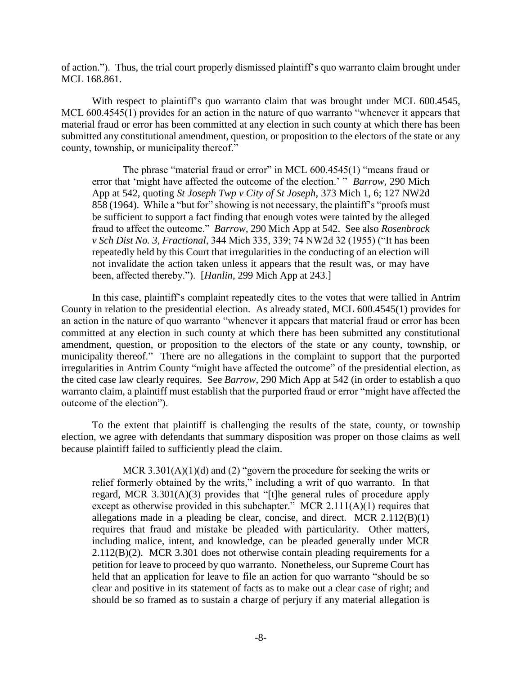of action."). Thus, the trial court properly dismissed plaintiff's quo warranto claim brought under MCL 168.861.

With respect to plaintiff's quo warranto claim that was brought under MCL 600.4545, MCL 600.4545(1) provides for an action in the nature of quo warranto "whenever it appears that material fraud or error has been committed at any election in such county at which there has been submitted any constitutional amendment, question, or proposition to the electors of the state or any county, township, or municipality thereof."

The phrase "material fraud or error" in MCL 600.4545(1) "means fraud or error that 'might have affected the outcome of the election.' " *Barrow*, 290 Mich App at 542, quoting *St Joseph Twp v City of St Joseph*, 373 Mich 1, 6; 127 NW2d 858 (1964). While a "but for" showing is not necessary, the plaintiff's "proofs must be sufficient to support a fact finding that enough votes were tainted by the alleged fraud to affect the outcome." *Barrow*, 290 Mich App at 542. See also *Rosenbrock v Sch Dist No. 3, Fractional*, 344 Mich 335, 339; 74 NW2d 32 (1955) ("It has been repeatedly held by this Court that irregularities in the conducting of an election will not invalidate the action taken unless it appears that the result was, or may have been, affected thereby."). [*Hanlin*, 299 Mich App at 243.]

In this case, plaintiff's complaint repeatedly cites to the votes that were tallied in Antrim County in relation to the presidential election. As already stated, MCL 600.4545(1) provides for an action in the nature of quo warranto "whenever it appears that material fraud or error has been committed at any election in such county at which there has been submitted any constitutional amendment, question, or proposition to the electors of the state or any county, township, or municipality thereof." There are no allegations in the complaint to support that the purported irregularities in Antrim County "might have affected the outcome" of the presidential election, as the cited case law clearly requires. See *Barrow*, 290 Mich App at 542 (in order to establish a quo warranto claim, a plaintiff must establish that the purported fraud or error "might have affected the outcome of the election").

To the extent that plaintiff is challenging the results of the state, county, or township election, we agree with defendants that summary disposition was proper on those claims as well because plaintiff failed to sufficiently plead the claim.

MCR 3.301(A)(1)(d) and (2) "govern the procedure for seeking the writs or relief formerly obtained by the writs," including a writ of quo warranto. In that regard, MCR 3.301(A)(3) provides that "[t]he general rules of procedure apply except as otherwise provided in this subchapter." MCR  $2.111(A)(1)$  requires that allegations made in a pleading be clear, concise, and direct. MCR 2.112(B)(1) requires that fraud and mistake be pleaded with particularity. Other matters, including malice, intent, and knowledge, can be pleaded generally under MCR  $2.112(B)(2)$ . MCR 3.301 does not otherwise contain pleading requirements for a petition for leave to proceed by quo warranto. Nonetheless, our Supreme Court has held that an application for leave to file an action for quo warranto "should be so clear and positive in its statement of facts as to make out a clear case of right; and should be so framed as to sustain a charge of perjury if any material allegation is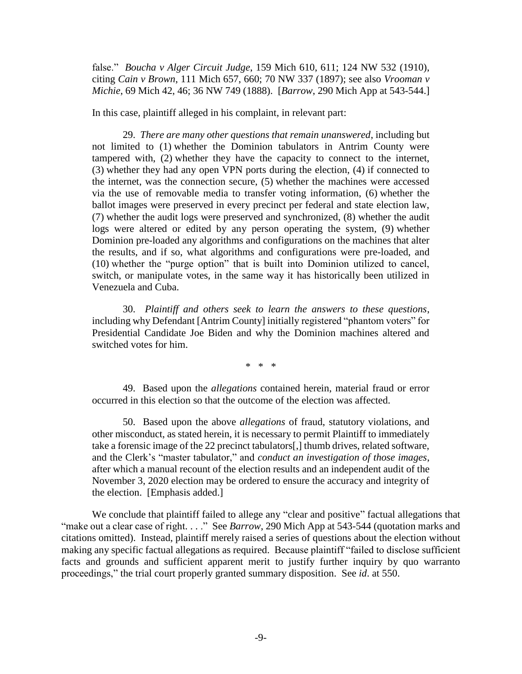false." *Boucha v Alger Circuit Judge*, 159 Mich 610, 611; 124 NW 532 (1910), citing *Cain v Brown*, 111 Mich 657, 660; 70 NW 337 (1897); see also *Vrooman v Michie*, 69 Mich 42, 46; 36 NW 749 (1888). [*Barrow*, 290 Mich App at 543-544.]

In this case, plaintiff alleged in his complaint, in relevant part:

29. *There are many other questions that remain unanswered*, including but not limited to (1) whether the Dominion tabulators in Antrim County were tampered with, (2) whether they have the capacity to connect to the internet, (3) whether they had any open VPN ports during the election, (4) if connected to the internet, was the connection secure, (5) whether the machines were accessed via the use of removable media to transfer voting information, (6) whether the ballot images were preserved in every precinct per federal and state election law, (7) whether the audit logs were preserved and synchronized, (8) whether the audit logs were altered or edited by any person operating the system, (9) whether Dominion pre-loaded any algorithms and configurations on the machines that alter the results, and if so, what algorithms and configurations were pre-loaded, and (10) whether the "purge option" that is built into Dominion utilized to cancel, switch, or manipulate votes, in the same way it has historically been utilized in Venezuela and Cuba.

30. *Plaintiff and others seek to learn the answers to these questions*, including why Defendant [Antrim County] initially registered "phantom voters" for Presidential Candidate Joe Biden and why the Dominion machines altered and switched votes for him.

\* \* \*

49. Based upon the *allegations* contained herein, material fraud or error occurred in this election so that the outcome of the election was affected.

50. Based upon the above *allegations* of fraud, statutory violations, and other misconduct, as stated herein, it is necessary to permit Plaintiff to immediately take a forensic image of the 22 precinct tabulators[,] thumb drives, related software, and the Clerk's "master tabulator," and *conduct an investigation of those images*, after which a manual recount of the election results and an independent audit of the November 3, 2020 election may be ordered to ensure the accuracy and integrity of the election. [Emphasis added.]

We conclude that plaintiff failed to allege any "clear and positive" factual allegations that "make out a clear case of right. . . ." See *Barrow*, 290 Mich App at 543-544 (quotation marks and citations omitted). Instead, plaintiff merely raised a series of questions about the election without making any specific factual allegations as required. Because plaintiff "failed to disclose sufficient facts and grounds and sufficient apparent merit to justify further inquiry by quo warranto proceedings," the trial court properly granted summary disposition. See *id*. at 550.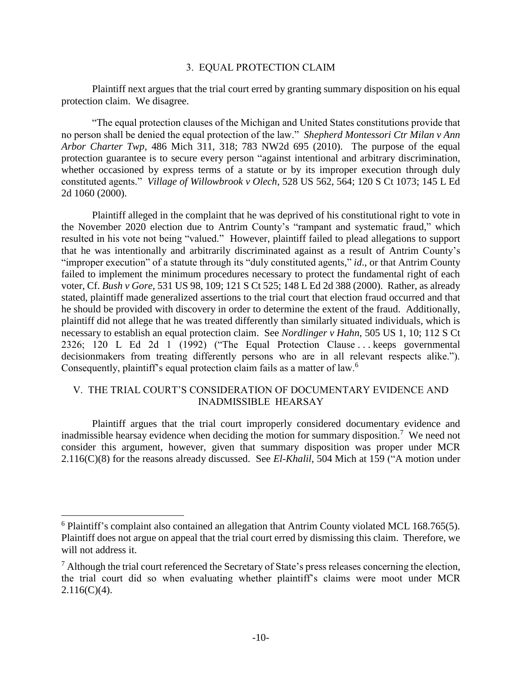### 3. EQUAL PROTECTION CLAIM

Plaintiff next argues that the trial court erred by granting summary disposition on his equal protection claim. We disagree.

"The equal protection clauses of the Michigan and United States constitutions provide that no person shall be denied the equal protection of the law." *Shepherd Montessori Ctr Milan v Ann Arbor Charter Twp*, 486 Mich 311, 318; 783 NW2d 695 (2010). The purpose of the equal protection guarantee is to secure every person "against intentional and arbitrary discrimination, whether occasioned by express terms of a statute or by its improper execution through duly constituted agents." *Village of Willowbrook v Olech*, 528 US 562, 564; 120 S Ct 1073; 145 L Ed 2d 1060 (2000).

Plaintiff alleged in the complaint that he was deprived of his constitutional right to vote in the November 2020 election due to Antrim County's "rampant and systematic fraud," which resulted in his vote not being "valued." However, plaintiff failed to plead allegations to support that he was intentionally and arbitrarily discriminated against as a result of Antrim County's "improper execution" of a statute through its "duly constituted agents," *id*., or that Antrim County failed to implement the minimum procedures necessary to protect the fundamental right of each voter, Cf. *Bush v Gore*, 531 US 98, 109; 121 S Ct 525; 148 L Ed 2d 388 (2000). Rather, as already stated, plaintiff made generalized assertions to the trial court that election fraud occurred and that he should be provided with discovery in order to determine the extent of the fraud. Additionally, plaintiff did not allege that he was treated differently than similarly situated individuals, which is necessary to establish an equal protection claim. See *Nordlinger v Hahn*, 505 US 1, 10; 112 S Ct 2326; 120 L Ed 2d 1 (1992) ("The Equal Protection Clause . . . keeps governmental decisionmakers from treating differently persons who are in all relevant respects alike."). Consequently, plaintiff's equal protection claim fails as a matter of law.<sup>6</sup>

## V. THE TRIAL COURT'S CONSIDERATION OF DOCUMENTARY EVIDENCE AND INADMISSIBLE HEARSAY

Plaintiff argues that the trial court improperly considered documentary evidence and inadmissible hearsay evidence when deciding the motion for summary disposition.<sup>7</sup> We need not consider this argument, however, given that summary disposition was proper under MCR 2.116(C)(8) for the reasons already discussed. See *El-Khalil*, 504 Mich at 159 ("A motion under

 $6$  Plaintiff's complaint also contained an allegation that Antrim County violated MCL 168.765(5). Plaintiff does not argue on appeal that the trial court erred by dismissing this claim. Therefore, we will not address it.

 $<sup>7</sup>$  Although the trial court referenced the Secretary of State's press releases concerning the election,</sup> the trial court did so when evaluating whether plaintiff's claims were moot under MCR  $2.116(C)(4)$ .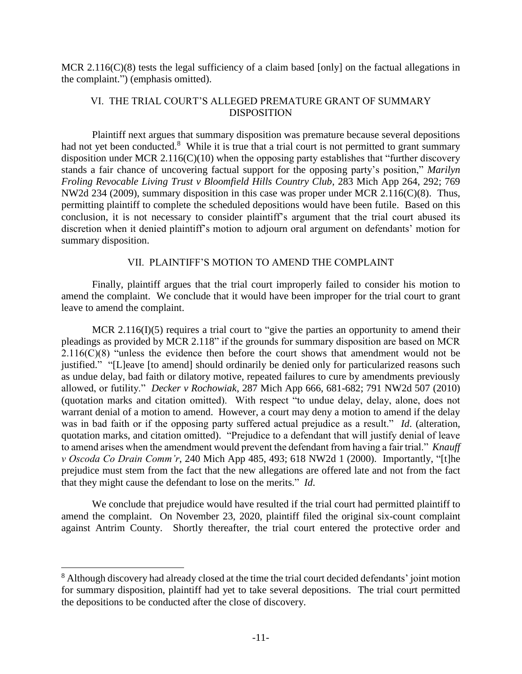MCR 2.116( $C(8)$ ) tests the legal sufficiency of a claim based [only] on the factual allegations in the complaint.") (emphasis omitted).

# VI. THE TRIAL COURT'S ALLEGED PREMATURE GRANT OF SUMMARY DISPOSITION

Plaintiff next argues that summary disposition was premature because several depositions had not yet been conducted.<sup>8</sup> While it is true that a trial court is not permitted to grant summary disposition under MCR 2.116(C)(10) when the opposing party establishes that "further discovery stands a fair chance of uncovering factual support for the opposing party's position," *Marilyn Froling Revocable Living Trust v Bloomfield Hills Country Club*, 283 Mich App 264, 292; 769 NW2d 234 (2009), summary disposition in this case was proper under MCR 2.116(C)(8). Thus, permitting plaintiff to complete the scheduled depositions would have been futile. Based on this conclusion, it is not necessary to consider plaintiff's argument that the trial court abused its discretion when it denied plaintiff's motion to adjourn oral argument on defendants' motion for summary disposition.

## VII. PLAINTIFF'S MOTION TO AMEND THE COMPLAINT

Finally, plaintiff argues that the trial court improperly failed to consider his motion to amend the complaint. We conclude that it would have been improper for the trial court to grant leave to amend the complaint.

MCR 2.116(I)(5) requires a trial court to "give the parties an opportunity to amend their pleadings as provided by MCR 2.118" if the grounds for summary disposition are based on MCR  $2.116(C)(8)$  "unless the evidence then before the court shows that amendment would not be justified." "[L]eave [to amend] should ordinarily be denied only for particularized reasons such as undue delay, bad faith or dilatory motive, repeated failures to cure by amendments previously allowed, or futility." *Decker v Rochowiak*, 287 Mich App 666, 681-682; 791 NW2d 507 (2010) (quotation marks and citation omitted). With respect "to undue delay, delay, alone, does not warrant denial of a motion to amend. However, a court may deny a motion to amend if the delay was in bad faith or if the opposing party suffered actual prejudice as a result." *Id*. (alteration, quotation marks, and citation omitted). "Prejudice to a defendant that will justify denial of leave to amend arises when the amendment would prevent the defendant from having a fair trial." *Knauff v Oscoda Co Drain Comm'r*, 240 Mich App 485, 493; 618 NW2d 1 (2000). Importantly, "[t]he prejudice must stem from the fact that the new allegations are offered late and not from the fact that they might cause the defendant to lose on the merits." *Id*.

We conclude that prejudice would have resulted if the trial court had permitted plaintiff to amend the complaint. On November 23, 2020, plaintiff filed the original six-count complaint against Antrim County. Shortly thereafter, the trial court entered the protective order and

 $8$  Although discovery had already closed at the time the trial court decided defendants' joint motion for summary disposition, plaintiff had yet to take several depositions. The trial court permitted the depositions to be conducted after the close of discovery.